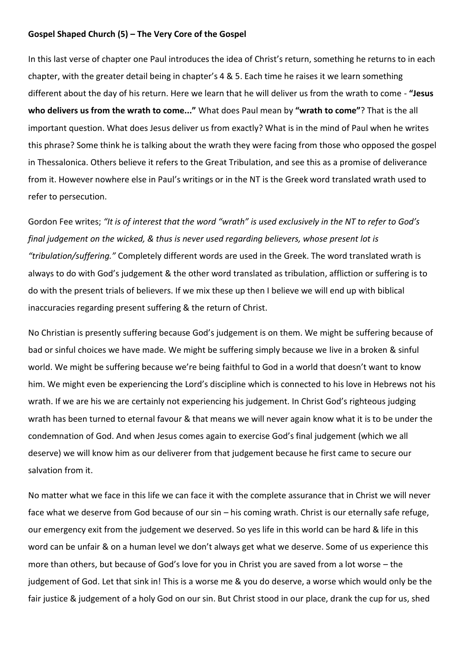## **Gospel Shaped Church (5) – The Very Core of the Gospel**

In this last verse of chapter one Paul introduces the idea of Christ's return, something he returns to in each chapter, with the greater detail being in chapter's 4 & 5. Each time he raises it we learn something different about the day of his return. Here we learn that he will deliver us from the wrath to come - **"Jesus who delivers us from the wrath to come..."** What does Paul mean by **"wrath to come"**? That is the all important question. What does Jesus deliver us from exactly? What is in the mind of Paul when he writes this phrase? Some think he is talking about the wrath they were facing from those who opposed the gospel in Thessalonica. Others believe it refers to the Great Tribulation, and see this as a promise of deliverance from it. However nowhere else in Paul's writings or in the NT is the Greek word translated wrath used to refer to persecution.

Gordon Fee writes; *"It is of interest that the word "wrath" is used exclusively in the NT to refer to God's final judgement on the wicked, & thus is never used regarding believers, whose present lot is "tribulation/suffering."* Completely different words are used in the Greek. The word translated wrath is always to do with God's judgement & the other word translated as tribulation, affliction or suffering is to do with the present trials of believers. If we mix these up then I believe we will end up with biblical inaccuracies regarding present suffering & the return of Christ.

No Christian is presently suffering because God's judgement is on them. We might be suffering because of bad or sinful choices we have made. We might be suffering simply because we live in a broken & sinful world. We might be suffering because we're being faithful to God in a world that doesn't want to know him. We might even be experiencing the Lord's discipline which is connected to his love in Hebrews not his wrath. If we are his we are certainly not experiencing his judgement. In Christ God's righteous judging wrath has been turned to eternal favour & that means we will never again know what it is to be under the condemnation of God. And when Jesus comes again to exercise God's final judgement (which we all deserve) we will know him as our deliverer from that judgement because he first came to secure our salvation from it.

No matter what we face in this life we can face it with the complete assurance that in Christ we will never face what we deserve from God because of our sin – his coming wrath. Christ is our eternally safe refuge, our emergency exit from the judgement we deserved. So yes life in this world can be hard & life in this word can be unfair & on a human level we don't always get what we deserve. Some of us experience this more than others, but because of God's love for you in Christ you are saved from a lot worse – the judgement of God. Let that sink in! This is a worse me & you do deserve, a worse which would only be the fair justice & judgement of a holy God on our sin. But Christ stood in our place, drank the cup for us, shed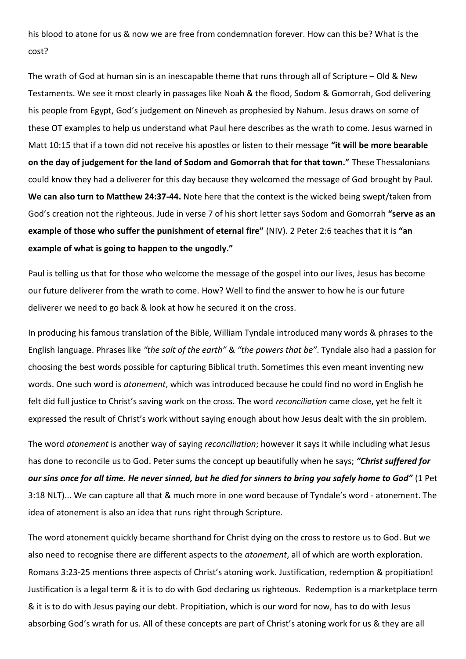his blood to atone for us & now we are free from condemnation forever. How can this be? What is the cost?

The wrath of God at human sin is an inescapable theme that runs through all of Scripture – Old & New Testaments. We see it most clearly in passages like Noah & the flood, Sodom & Gomorrah, God delivering his people from Egypt, God's judgement on Nineveh as prophesied by Nahum. Jesus draws on some of these OT examples to help us understand what Paul here describes as the wrath to come. Jesus warned in Matt 10:15 that if a town did not receive his apostles or listen to their message **"it will be more bearable on the day of judgement for the land of Sodom and Gomorrah that for that town."** These Thessalonians could know they had a deliverer for this day because they welcomed the message of God brought by Paul. **We can also turn to Matthew 24:37-44.** Note here that the context is the wicked being swept/taken from God's creation not the righteous. Jude in verse 7 of his short letter says Sodom and Gomorrah **"serve as an example of those who suffer the punishment of eternal fire"** (NIV). 2 Peter 2:6 teaches that it is **"an example of what is going to happen to the ungodly."**

Paul is telling us that for those who welcome the message of the gospel into our lives, Jesus has become our future deliverer from the wrath to come. How? Well to find the answer to how he is our future deliverer we need to go back & look at how he secured it on the cross.

In producing his famous translation of the Bible, William Tyndale introduced many words & phrases to the English language. Phrases like *"the salt of the earth"* & *"the powers that be"*. Tyndale also had a passion for choosing the best words possible for capturing Biblical truth. Sometimes this even meant inventing new words. One such word is *atonement*, which was introduced because he could find no word in English he felt did full justice to Christ's saving work on the cross. The word *reconciliation* came close, yet he felt it expressed the result of Christ's work without saying enough about how Jesus dealt with the sin problem.

The word *atonement* is another way of saying *reconciliation*; however it says it while including what Jesus has done to reconcile us to God. Peter sums the concept up beautifully when he says; *"Christ suffered for our sins once for all time. He never sinned, but he died for sinners to bring you safely home to God"* (1 Pet 3:18 NLT)... We can capture all that & much more in one word because of Tyndale's word - atonement. The idea of atonement is also an idea that runs right through Scripture.

The word atonement quickly became shorthand for Christ dying on the cross to restore us to God. But we also need to recognise there are different aspects to the *atonement*, all of which are worth exploration. Romans 3:23-25 mentions three aspects of Christ's atoning work. Justification, redemption & propitiation! Justification is a legal term & it is to do with God declaring us righteous. Redemption is a marketplace term & it is to do with Jesus paying our debt. Propitiation, which is our word for now, has to do with Jesus absorbing God's wrath for us. All of these concepts are part of Christ's atoning work for us & they are all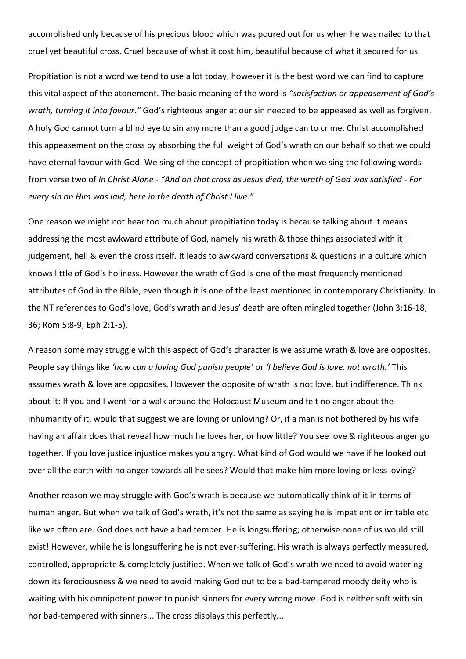accomplished only because of his precious blood which was poured out for us when he was nailed to that cruel yet beautiful cross. Cruel because of what it cost him, beautiful because of what it secured for us.

Propitiation is not a word we tend to use a lot today, however it is the best word we can find to capture this vital aspect of the atonement. The basic meaning of the word is *"satisfaction or appeasement of God's wrath, turning it into favour."* God's righteous anger at our sin needed to be appeased as well as forgiven. A holy God cannot turn a blind eye to sin any more than a good judge can to crime. Christ accomplished this appeasement on the cross by absorbing the full weight of God's wrath on our behalf so that we could have eternal favour with God. We sing of the concept of propitiation when we sing the following words from verse two of *In Christ Alone* - *"And on that cross as Jesus died, the wrath of God was satisfied - For every sin on Him was laid; here in the death of Christ I live."*

One reason we might not hear too much about propitiation today is because talking about it means addressing the most awkward attribute of God, namely his wrath & those things associated with it judgement, hell & even the cross itself. It leads to awkward conversations & questions in a culture which knows little of God's holiness. However the wrath of God is one of the most frequently mentioned attributes of God in the Bible, even though it is one of the least mentioned in contemporary Christianity. In the NT references to God's love, God's wrath and Jesus' death are often mingled together (John 3:16-18, 36; Rom 5:8-9; Eph 2:1-5).

A reason some may struggle with this aspect of God's character is we assume wrath & love are opposites. People say things like *'how can a loving God punish people'* or *'I believe God is love, not wrath.'* This assumes wrath & love are opposites. However the opposite of wrath is not love, but indifference. Think about it: If you and I went for a walk around the Holocaust Museum and felt no anger about the inhumanity of it, would that suggest we are loving or unloving? Or, if a man is not bothered by his wife having an affair does that reveal how much he loves her, or how little? You see love & righteous anger go together. If you love justice injustice makes you angry. What kind of God would we have if he looked out over all the earth with no anger towards all he sees? Would that make him more loving or less loving?

Another reason we may struggle with God's wrath is because we automatically think of it in terms of human anger. But when we talk of God's wrath, it's not the same as saying he is impatient or irritable etc like we often are. God does not have a bad temper. He is longsuffering; otherwise none of us would still exist! However, while he is longsuffering he is not ever-suffering. His wrath is always perfectly measured, controlled, appropriate & completely justified. When we talk of God's wrath we need to avoid watering down its ferociousness & we need to avoid making God out to be a bad-tempered moody deity who is waiting with his omnipotent power to punish sinners for every wrong move. God is neither soft with sin nor bad-tempered with sinners... The cross displays this perfectly...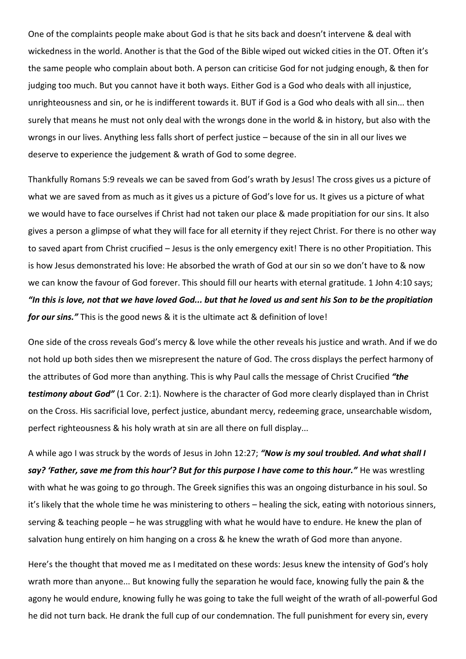One of the complaints people make about God is that he sits back and doesn't intervene & deal with wickedness in the world. Another is that the God of the Bible wiped out wicked cities in the OT. Often it's the same people who complain about both. A person can criticise God for not judging enough, & then for judging too much. But you cannot have it both ways. Either God is a God who deals with all injustice, unrighteousness and sin, or he is indifferent towards it. BUT if God is a God who deals with all sin... then surely that means he must not only deal with the wrongs done in the world & in history, but also with the wrongs in our lives. Anything less falls short of perfect justice – because of the sin in all our lives we deserve to experience the judgement & wrath of God to some degree.

Thankfully Romans 5:9 reveals we can be saved from God's wrath by Jesus! The cross gives us a picture of what we are saved from as much as it gives us a picture of God's love for us. It gives us a picture of what we would have to face ourselves if Christ had not taken our place & made propitiation for our sins. It also gives a person a glimpse of what they will face for all eternity if they reject Christ. For there is no other way to saved apart from Christ crucified – Jesus is the only emergency exit! There is no other Propitiation. This is how Jesus demonstrated his love: He absorbed the wrath of God at our sin so we don't have to & now we can know the favour of God forever. This should fill our hearts with eternal gratitude. 1 John 4:10 says; *"In this is love, not that we have loved God... but that he loved us and sent his Son to be the propitiation for our sins."* This is the good news & it is the ultimate act & definition of love!

One side of the cross reveals God's mercy & love while the other reveals his justice and wrath. And if we do not hold up both sides then we misrepresent the nature of God. The cross displays the perfect harmony of the attributes of God more than anything. This is why Paul calls the message of Christ Crucified *"the testimony about God"* (1 Cor. 2:1). Nowhere is the character of God more clearly displayed than in Christ on the Cross. His sacrificial love, perfect justice, abundant mercy, redeeming grace, unsearchable wisdom, perfect righteousness & his holy wrath at sin are all there on full display...

A while ago I was struck by the words of Jesus in John 12:27; *"Now is my soul troubled. And what shall I say? 'Father, save me from this hour'? But for this purpose I have come to this hour."* He was wrestling with what he was going to go through. The Greek signifies this was an ongoing disturbance in his soul. So it's likely that the whole time he was ministering to others – healing the sick, eating with notorious sinners, serving & teaching people – he was struggling with what he would have to endure. He knew the plan of salvation hung entirely on him hanging on a cross & he knew the wrath of God more than anyone.

Here's the thought that moved me as I meditated on these words: Jesus knew the intensity of God's holy wrath more than anyone... But knowing fully the separation he would face, knowing fully the pain & the agony he would endure, knowing fully he was going to take the full weight of the wrath of all-powerful God he did not turn back. He drank the full cup of our condemnation. The full punishment for every sin, every